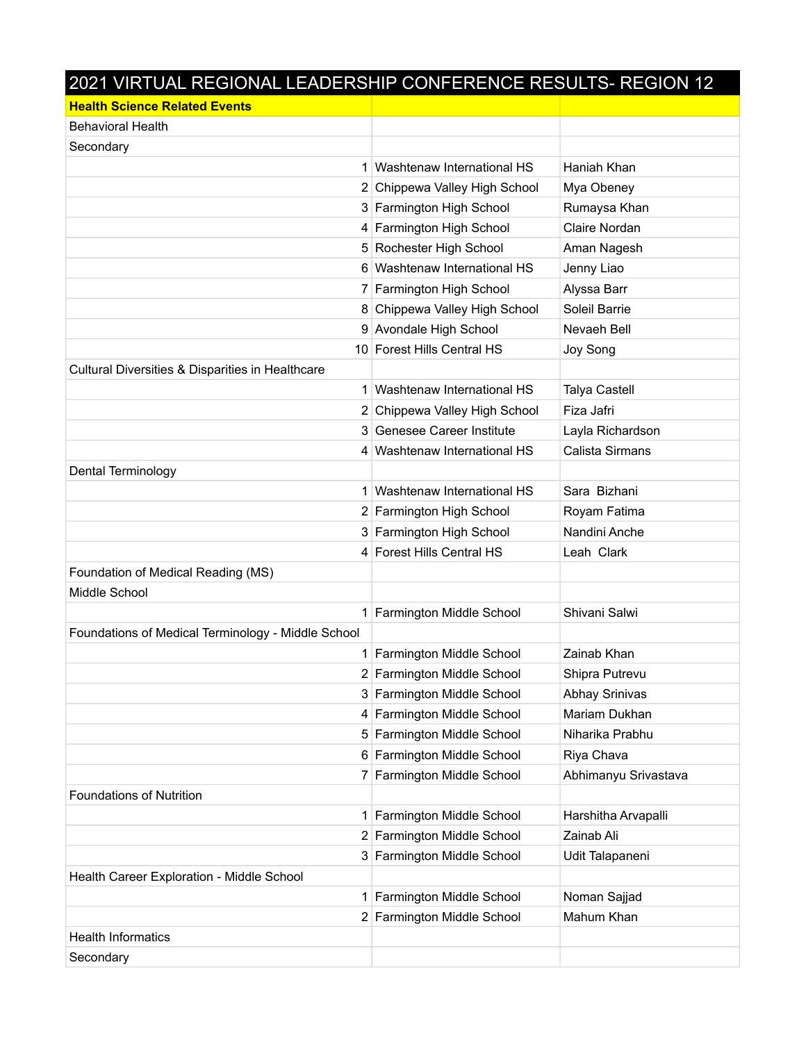| 2021 VIRTUAL REGIONAL LEADERSHIP CONFERENCE RESULTS- REGION 12 |                               |                      |
|----------------------------------------------------------------|-------------------------------|----------------------|
| <b>Health Science Related Events</b>                           |                               |                      |
| <b>Behavioral Health</b>                                       |                               |                      |
| Secondary                                                      |                               |                      |
|                                                                | 1 Washtenaw International HS  | Haniah Khan          |
|                                                                | 2 Chippewa Valley High School | Mya Obeney           |
|                                                                | 3 Farmington High School      | Rumaysa Khan         |
|                                                                | 4 Farmington High School      | Claire Nordan        |
|                                                                | 5 Rochester High School       | Aman Nagesh          |
|                                                                | 6 Washtenaw International HS  | Jenny Liao           |
|                                                                | 7 Farmington High School      | Alyssa Barr          |
|                                                                | 8 Chippewa Valley High School | Soleil Barrie        |
|                                                                | 9 Avondale High School        | Nevaeh Bell          |
|                                                                | 10 Forest Hills Central HS    | Joy Song             |
| Cultural Diversities & Disparities in Healthcare               |                               |                      |
|                                                                | 1 Washtenaw International HS  | <b>Talya Castell</b> |
|                                                                | 2 Chippewa Valley High School | Fiza Jafri           |
|                                                                | 3 Genesee Career Institute    | Layla Richardson     |
|                                                                | 4 Washtenaw International HS  | Calista Sirmans      |
| Dental Terminology                                             |                               |                      |
|                                                                | 1 Washtenaw International HS  | Sara Bizhani         |
|                                                                | 2 Farmington High School      | Royam Fatima         |
|                                                                | 3 Farmington High School      | Nandini Anche        |
|                                                                | 4 Forest Hills Central HS     | Leah Clark           |
| Foundation of Medical Reading (MS)                             |                               |                      |
| Middle School                                                  |                               |                      |
|                                                                | 1 Farmington Middle School    | Shivani Salwi        |
| Foundations of Medical Terminology - Middle School             |                               |                      |
| $\mathbf{1}$                                                   | Farmington Middle School      | Zainab Khan          |
|                                                                | 2 Farmington Middle School    | Shipra Putrevu       |
|                                                                | 3 Farmington Middle School    | Abhay Srinivas       |
|                                                                | 4 Farmington Middle School    | Mariam Dukhan        |
|                                                                | 5 Farmington Middle School    | Niharika Prabhu      |
|                                                                | 6 Farmington Middle School    | Riya Chava           |
| 7 <sup>1</sup>                                                 | Farmington Middle School      | Abhimanyu Srivastava |
| <b>Foundations of Nutrition</b>                                |                               |                      |
| 1 <sup>1</sup>                                                 | Farmington Middle School      | Harshitha Arvapalli  |
|                                                                | 2 Farmington Middle School    | Zainab Ali           |
|                                                                | 3 Farmington Middle School    | Udit Talapaneni      |
| Health Career Exploration - Middle School                      |                               |                      |
|                                                                | Farmington Middle School      | Noman Sajjad         |
|                                                                | 2 Farmington Middle School    | Mahum Khan           |
| <b>Health Informatics</b>                                      |                               |                      |
| Secondary                                                      |                               |                      |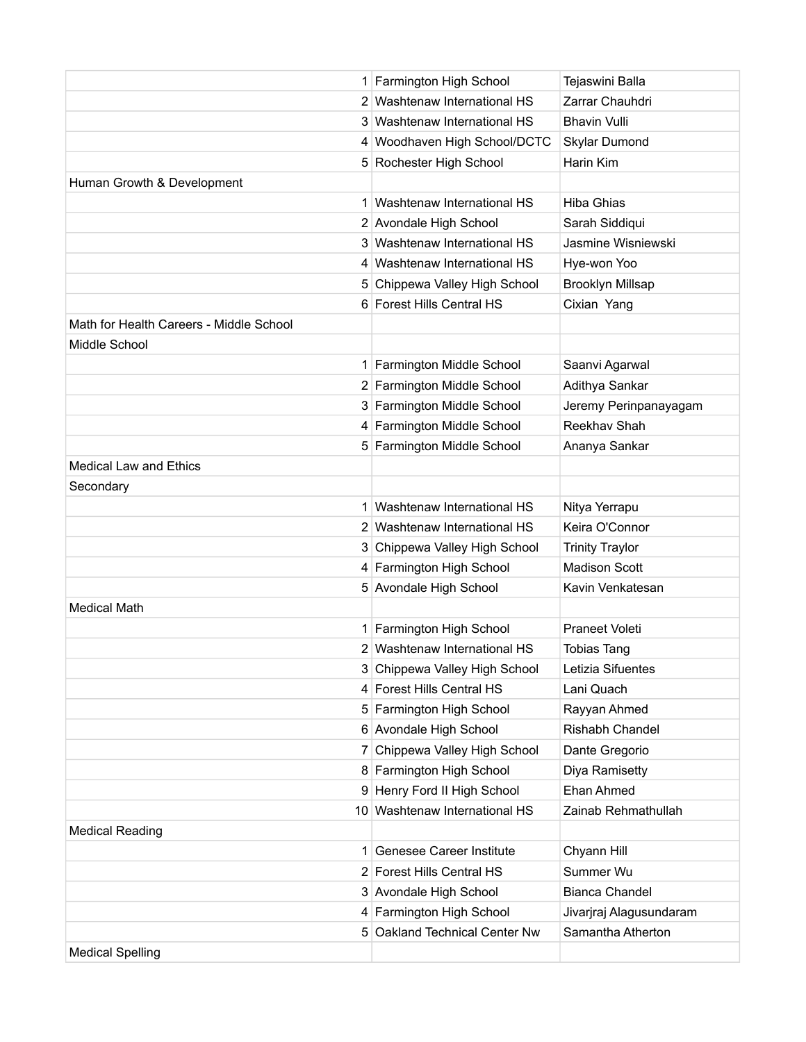|                                         | 1 Farmington High School      | Tejaswini Balla         |
|-----------------------------------------|-------------------------------|-------------------------|
|                                         | 2 Washtenaw International HS  | Zarrar Chauhdri         |
|                                         | 3 Washtenaw International HS  | <b>Bhavin Vulli</b>     |
|                                         | 4 Woodhaven High School/DCTC  | Skylar Dumond           |
|                                         | 5 Rochester High School       | Harin Kim               |
| Human Growth & Development              |                               |                         |
|                                         | 1 Washtenaw International HS  | <b>Hiba Ghias</b>       |
|                                         | 2 Avondale High School        | Sarah Siddiqui          |
|                                         | 3 Washtenaw International HS  | Jasmine Wisniewski      |
|                                         | 4 Washtenaw International HS  | Hye-won Yoo             |
|                                         | 5 Chippewa Valley High School | <b>Brooklyn Millsap</b> |
|                                         | 6 Forest Hills Central HS     | Cixian Yang             |
| Math for Health Careers - Middle School |                               |                         |
| Middle School                           |                               |                         |
|                                         | 1 Farmington Middle School    | Saanvi Agarwal          |
|                                         | 2 Farmington Middle School    | Adithya Sankar          |
|                                         | 3 Farmington Middle School    | Jeremy Perinpanayagam   |
|                                         | 4 Farmington Middle School    | Reekhav Shah            |
|                                         | 5 Farmington Middle School    | Ananya Sankar           |
| <b>Medical Law and Ethics</b>           |                               |                         |
| Secondary                               |                               |                         |
|                                         | 1 Washtenaw International HS  | Nitya Yerrapu           |
|                                         | 2 Washtenaw International HS  | Keira O'Connor          |
|                                         | 3 Chippewa Valley High School | <b>Trinity Traylor</b>  |
|                                         | 4 Farmington High School      | <b>Madison Scott</b>    |
|                                         | 5 Avondale High School        | Kavin Venkatesan        |
| <b>Medical Math</b>                     |                               |                         |
|                                         | 1 Farmington High School      | <b>Praneet Voleti</b>   |
|                                         | 2 Washtenaw International HS  | <b>Tobias Tang</b>      |
|                                         | 3 Chippewa Valley High School | Letizia Sifuentes       |
|                                         | 4 Forest Hills Central HS     | Lani Quach              |
|                                         | 5 Farmington High School      | Rayyan Ahmed            |
|                                         | 6 Avondale High School        | Rishabh Chandel         |
|                                         | 7 Chippewa Valley High School | Dante Gregorio          |
|                                         | 8 Farmington High School      | Diya Ramisetty          |
|                                         | 9 Henry Ford II High School   | Ehan Ahmed              |
|                                         | 10 Washtenaw International HS | Zainab Rehmathullah     |
| <b>Medical Reading</b>                  |                               |                         |
| 1.                                      | Genesee Career Institute      | Chyann Hill             |
|                                         | 2 Forest Hills Central HS     | Summer Wu               |
|                                         | 3 Avondale High School        | <b>Bianca Chandel</b>   |
|                                         | 4 Farmington High School      | Jivarjraj Alagusundaram |
|                                         | 5 Oakland Technical Center Nw | Samantha Atherton       |
| <b>Medical Spelling</b>                 |                               |                         |
|                                         |                               |                         |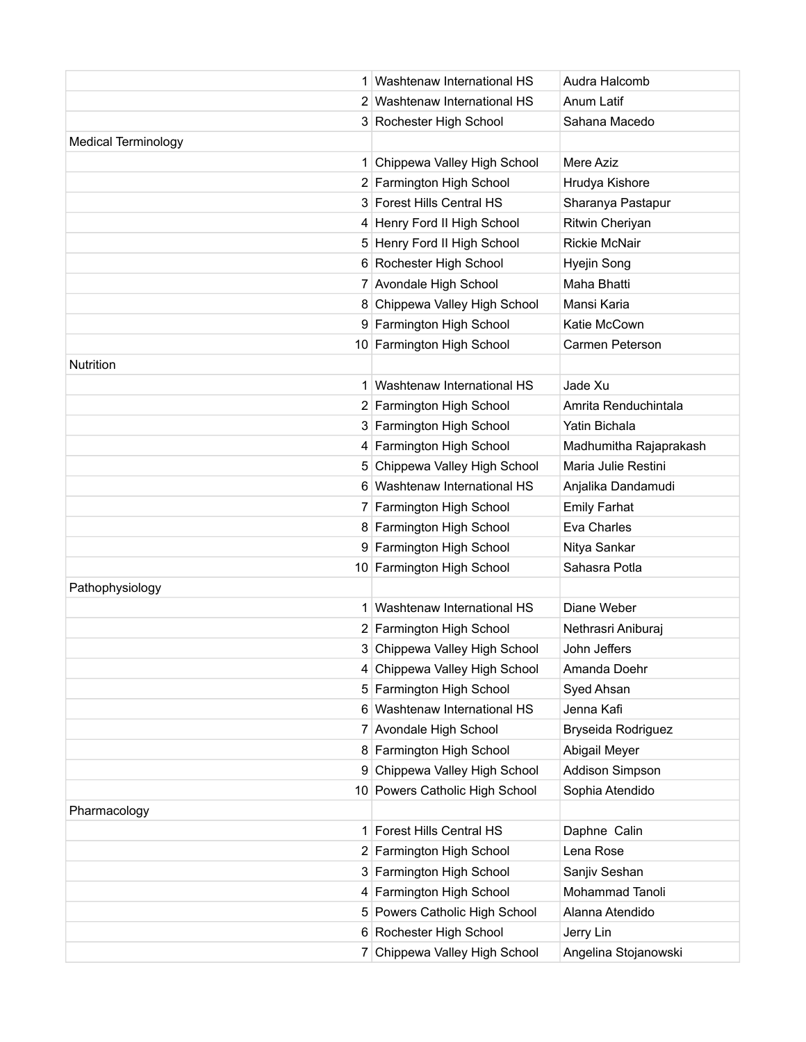|                            | 1 Washtenaw International HS   | Audra Halcomb          |
|----------------------------|--------------------------------|------------------------|
|                            | 2 Washtenaw International HS   | Anum Latif             |
|                            | 3 Rochester High School        | Sahana Macedo          |
| <b>Medical Terminology</b> |                                |                        |
|                            | 1 Chippewa Valley High School  | Mere Aziz              |
|                            | 2 Farmington High School       | Hrudya Kishore         |
|                            | 3 Forest Hills Central HS      | Sharanya Pastapur      |
|                            | 4 Henry Ford II High School    | Ritwin Cheriyan        |
|                            | 5 Henry Ford II High School    | <b>Rickie McNair</b>   |
|                            | 6 Rochester High School        | Hyejin Song            |
|                            | 7 Avondale High School         | Maha Bhatti            |
|                            | 8 Chippewa Valley High School  | Mansi Karia            |
|                            | 9 Farmington High School       | Katie McCown           |
|                            | 10 Farmington High School      | Carmen Peterson        |
| <b>Nutrition</b>           |                                |                        |
|                            | 1 Washtenaw International HS   | Jade Xu                |
|                            | 2 Farmington High School       | Amrita Renduchintala   |
|                            | 3 Farmington High School       | Yatin Bichala          |
|                            | 4 Farmington High School       | Madhumitha Rajaprakash |
|                            | 5 Chippewa Valley High School  | Maria Julie Restini    |
|                            | 6 Washtenaw International HS   | Anjalika Dandamudi     |
|                            | 7 Farmington High School       | <b>Emily Farhat</b>    |
|                            | 8 Farmington High School       | Eva Charles            |
|                            | 9 Farmington High School       | Nitya Sankar           |
|                            | 10 Farmington High School      | Sahasra Potla          |
| Pathophysiology            |                                |                        |
|                            | 1 Washtenaw International HS   | Diane Weber            |
|                            | 2 Farmington High School       | Nethrasri Aniburaj     |
|                            | 3 Chippewa Valley High School  | John Jeffers           |
|                            | 4 Chippewa Valley High School  | Amanda Doehr           |
|                            | 5 Farmington High School       | Syed Ahsan             |
|                            | 6 Washtenaw International HS   | Jenna Kafi             |
|                            | 7 Avondale High School         | Bryseida Rodriguez     |
|                            | 8 Farmington High School       | Abigail Meyer          |
|                            | 9 Chippewa Valley High School  | Addison Simpson        |
|                            | 10 Powers Catholic High School | Sophia Atendido        |
| Pharmacology               |                                |                        |
|                            | 1 Forest Hills Central HS      | Daphne Calin           |
|                            | 2 Farmington High School       | Lena Rose              |
|                            | 3 Farmington High School       | Sanjiv Seshan          |
|                            | 4 Farmington High School       | Mohammad Tanoli        |
|                            | 5 Powers Catholic High School  | Alanna Atendido        |
|                            | 6 Rochester High School        | Jerry Lin              |
|                            | 7 Chippewa Valley High School  | Angelina Stojanowski   |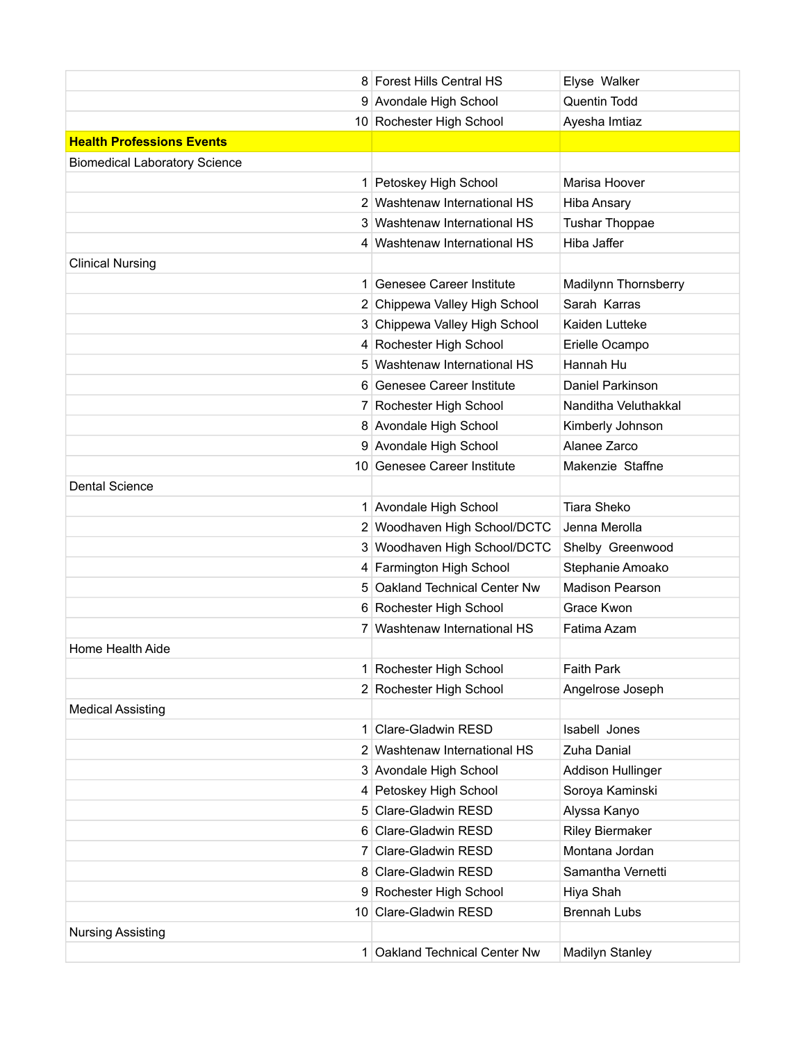|                                      | 8 Forest Hills Central HS     | Elyse Walker           |
|--------------------------------------|-------------------------------|------------------------|
|                                      | 9 Avondale High School        | Quentin Todd           |
|                                      | 10 Rochester High School      | Ayesha Imtiaz          |
| <b>Health Professions Events</b>     |                               |                        |
| <b>Biomedical Laboratory Science</b> |                               |                        |
|                                      | 1 Petoskey High School        | Marisa Hoover          |
|                                      | 2 Washtenaw International HS  | <b>Hiba Ansary</b>     |
|                                      | 3 Washtenaw International HS  | <b>Tushar Thoppae</b>  |
|                                      | 4 Washtenaw International HS  | Hiba Jaffer            |
| <b>Clinical Nursing</b>              |                               |                        |
|                                      | 1 Genesee Career Institute    | Madilynn Thornsberry   |
|                                      | 2 Chippewa Valley High School | Sarah Karras           |
|                                      | 3 Chippewa Valley High School | Kaiden Lutteke         |
|                                      | 4 Rochester High School       | Erielle Ocampo         |
|                                      | 5 Washtenaw International HS  | Hannah Hu              |
|                                      | 6 Genesee Career Institute    | Daniel Parkinson       |
|                                      | 7 Rochester High School       | Nanditha Veluthakkal   |
|                                      | 8 Avondale High School        | Kimberly Johnson       |
|                                      | 9 Avondale High School        | Alanee Zarco           |
|                                      | 10 Genesee Career Institute   | Makenzie Staffne       |
| <b>Dental Science</b>                |                               |                        |
|                                      | 1 Avondale High School        | <b>Tiara Sheko</b>     |
|                                      | 2 Woodhaven High School/DCTC  | Jenna Merolla          |
|                                      | 3 Woodhaven High School/DCTC  | Shelby Greenwood       |
|                                      | 4 Farmington High School      | Stephanie Amoako       |
| 5.                                   | Oakland Technical Center Nw   | <b>Madison Pearson</b> |
|                                      | 6 Rochester High School       | Grace Kwon             |
|                                      | 7 Washtenaw International HS  | Fatima Azam            |
| Home Health Aide                     |                               |                        |
|                                      | Rochester High School         | <b>Faith Park</b>      |
|                                      | 2 Rochester High School       | Angelrose Joseph       |
| <b>Medical Assisting</b>             |                               |                        |
| $\mathbf{1}$                         | Clare-Gladwin RESD            | Isabell Jones          |
|                                      | 2 Washtenaw International HS  | Zuha Danial            |
|                                      | 3 Avondale High School        | Addison Hullinger      |
|                                      | 4 Petoskey High School        | Soroya Kaminski        |
|                                      | 5 Clare-Gladwin RESD          | Alyssa Kanyo           |
|                                      | 6 Clare-Gladwin RESD          | <b>Riley Biermaker</b> |
| 7 <sup>1</sup>                       | Clare-Gladwin RESD            | Montana Jordan         |
| 8                                    | <b>Clare-Gladwin RESD</b>     | Samantha Vernetti      |
|                                      | 9 Rochester High School       | Hiya Shah              |
|                                      | 10 Clare-Gladwin RESD         | <b>Brennah Lubs</b>    |
| <b>Nursing Assisting</b>             |                               |                        |
|                                      | 1 Oakland Technical Center Nw | <b>Madilyn Stanley</b> |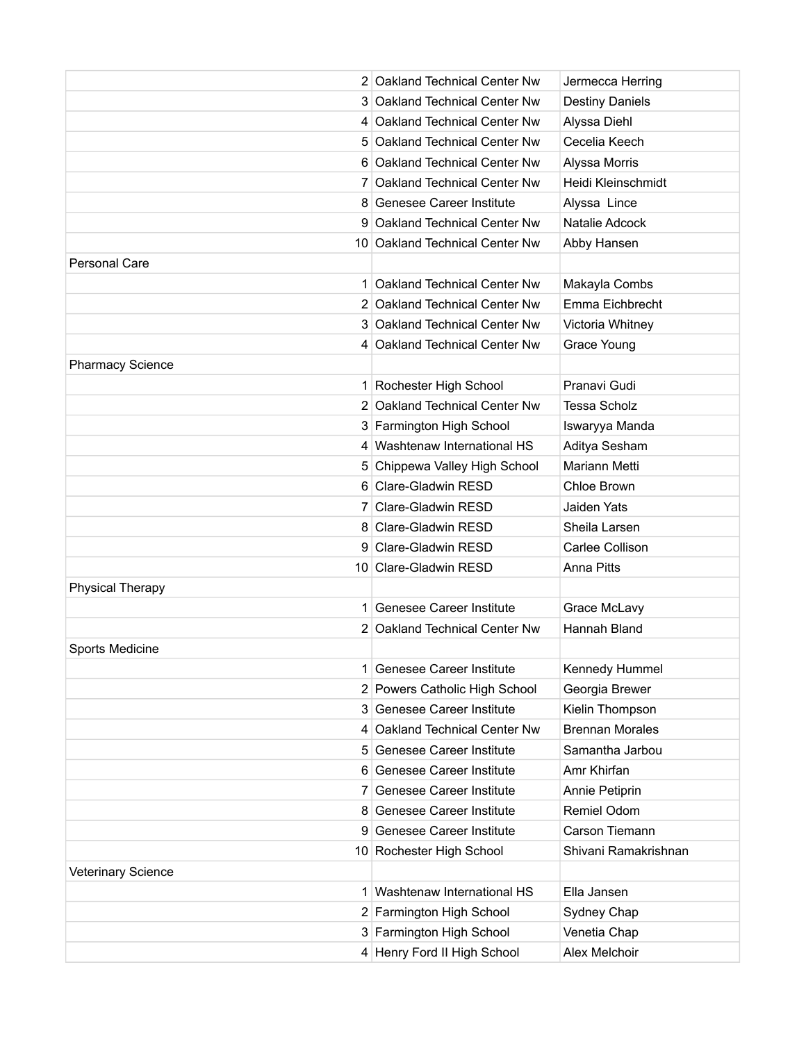|                           | 2 Oakland Technical Center Nw   | Jermecca Herring       |
|---------------------------|---------------------------------|------------------------|
|                           | 3 Oakland Technical Center Nw   | <b>Destiny Daniels</b> |
|                           | 4 Oakland Technical Center Nw   | Alyssa Diehl           |
|                           | 5 Oakland Technical Center Nw   | Cecelia Keech          |
|                           | 6 Oakland Technical Center Nw   | Alyssa Morris          |
|                           | 7 Oakland Technical Center Nw   | Heidi Kleinschmidt     |
|                           | 8 Genesee Career Institute      | Alyssa Lince           |
|                           | 9 Oakland Technical Center Nw   | Natalie Adcock         |
|                           | 10 Oakland Technical Center Nw  | Abby Hansen            |
| <b>Personal Care</b>      |                                 |                        |
|                           | 1 Oakland Technical Center Nw   | Makayla Combs          |
|                           | 2 Oakland Technical Center Nw   | Emma Eichbrecht        |
|                           | 3 Oakland Technical Center Nw   | Victoria Whitney       |
|                           | 4 Oakland Technical Center Nw   | Grace Young            |
| <b>Pharmacy Science</b>   |                                 |                        |
|                           | 1 Rochester High School         | Pranavi Gudi           |
|                           | 2 Oakland Technical Center Nw   | <b>Tessa Scholz</b>    |
|                           | 3 Farmington High School        | Iswaryya Manda         |
|                           | 4 Washtenaw International HS    | Aditya Sesham          |
|                           | 5 Chippewa Valley High School   | Mariann Metti          |
|                           | 6 Clare-Gladwin RESD            | Chloe Brown            |
|                           | 7 Clare-Gladwin RESD            | Jaiden Yats            |
|                           | 8 Clare-Gladwin RESD            | Sheila Larsen          |
|                           | 9 Clare-Gladwin RESD            | Carlee Collison        |
|                           | 10 Clare-Gladwin RESD           | <b>Anna Pitts</b>      |
| <b>Physical Therapy</b>   |                                 |                        |
| 1.                        | <b>Genesee Career Institute</b> | Grace McLavy           |
|                           | 2 Oakland Technical Center Nw   | Hannah Bland           |
| Sports Medicine           |                                 |                        |
|                           | 1 Genesee Career Institute      | Kennedy Hummel         |
|                           | 2 Powers Catholic High School   | Georgia Brewer         |
|                           | 3 Genesee Career Institute      | Kielin Thompson        |
|                           | 4 Oakland Technical Center Nw   | <b>Brennan Morales</b> |
|                           | 5 Genesee Career Institute      | Samantha Jarbou        |
| 6.                        | <b>Genesee Career Institute</b> | Amr Khirfan            |
|                           | 7 Genesee Career Institute      | Annie Petiprin         |
|                           | 8 Genesee Career Institute      | Remiel Odom            |
|                           | 9 Genesee Career Institute      | Carson Tiemann         |
|                           | 10 Rochester High School        | Shivani Ramakrishnan   |
| <b>Veterinary Science</b> |                                 |                        |
|                           | Washtenaw International HS      | Ella Jansen            |
|                           | 2 Farmington High School        | Sydney Chap            |
|                           | 3 Farmington High School        | Venetia Chap           |
|                           | 4 Henry Ford II High School     | Alex Melchoir          |
|                           |                                 |                        |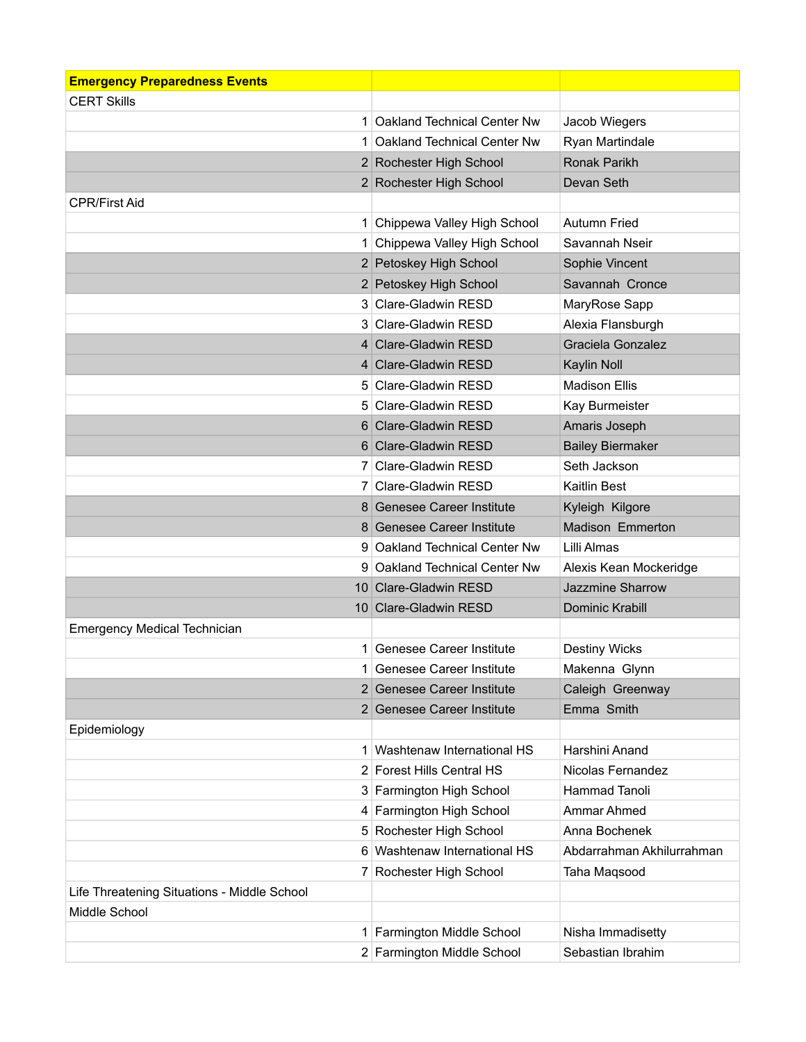| <b>Emergency Preparedness Events</b>        |                               |                           |
|---------------------------------------------|-------------------------------|---------------------------|
| <b>CERT Skills</b>                          |                               |                           |
|                                             | 1 Oakland Technical Center Nw | Jacob Wiegers             |
|                                             | 1 Oakland Technical Center Nw | Ryan Martindale           |
|                                             | 2 Rochester High School       | <b>Ronak Parikh</b>       |
|                                             | 2 Rochester High School       | Devan Seth                |
| <b>CPR/First Aid</b>                        |                               |                           |
|                                             | 1 Chippewa Valley High School | <b>Autumn Fried</b>       |
|                                             | Chippewa Valley High School   | Savannah Nseir            |
|                                             | 2 Petoskey High School        | Sophie Vincent            |
|                                             | 2 Petoskey High School        | Savannah Cronce           |
|                                             | 3 Clare-Gladwin RESD          | MaryRose Sapp             |
|                                             | 3 Clare-Gladwin RESD          | Alexia Flansburgh         |
|                                             | 4 Clare-Gladwin RESD          | Graciela Gonzalez         |
|                                             | 4 Clare-Gladwin RESD          | Kaylin Noll               |
|                                             | 5 Clare-Gladwin RESD          | <b>Madison Ellis</b>      |
|                                             | 5 Clare-Gladwin RESD          | Kay Burmeister            |
|                                             | 6 Clare-Gladwin RESD          | Amaris Joseph             |
|                                             | 6 Clare-Gladwin RESD          | <b>Bailey Biermaker</b>   |
|                                             | 7 Clare-Gladwin RESD          | Seth Jackson              |
|                                             | 7 Clare-Gladwin RESD          | Kaitlin Best              |
|                                             | 8 Genesee Career Institute    | Kyleigh Kilgore           |
|                                             | 8 Genesee Career Institute    | Madison Emmerton          |
|                                             | 9 Oakland Technical Center Nw | Lilli Almas               |
|                                             | 9 Oakland Technical Center Nw | Alexis Kean Mockeridge    |
|                                             | 10 Clare-Gladwin RESD         | Jazzmine Sharrow          |
|                                             | 10 Clare-Gladwin RESD         | Dominic Krabill           |
| <b>Emergency Medical Technician</b>         |                               |                           |
|                                             | 1 Genesee Career Institute    | <b>Destiny Wicks</b>      |
|                                             | 1 Genesee Career Institute    | Makenna Glynn             |
|                                             | 2 Genesee Career Institute    | Caleigh Greenway          |
|                                             | 2 Genesee Career Institute    | Emma Smith                |
| Epidemiology                                |                               |                           |
|                                             | 1 Washtenaw International HS  | Harshini Anand            |
|                                             | 2 Forest Hills Central HS     | Nicolas Fernandez         |
|                                             | 3 Farmington High School      | <b>Hammad Tanoli</b>      |
|                                             | 4 Farmington High School      | Ammar Ahmed               |
|                                             | 5 Rochester High School       | Anna Bochenek             |
|                                             | 6 Washtenaw International HS  | Abdarrahman Akhilurrahman |
| $\mathbf{7}$                                | Rochester High School         | Taha Maqsood              |
| Life Threatening Situations - Middle School |                               |                           |
| Middle School                               |                               |                           |
|                                             | 1 Farmington Middle School    | Nisha Immadisetty         |
|                                             | 2 Farmington Middle School    | Sebastian Ibrahim         |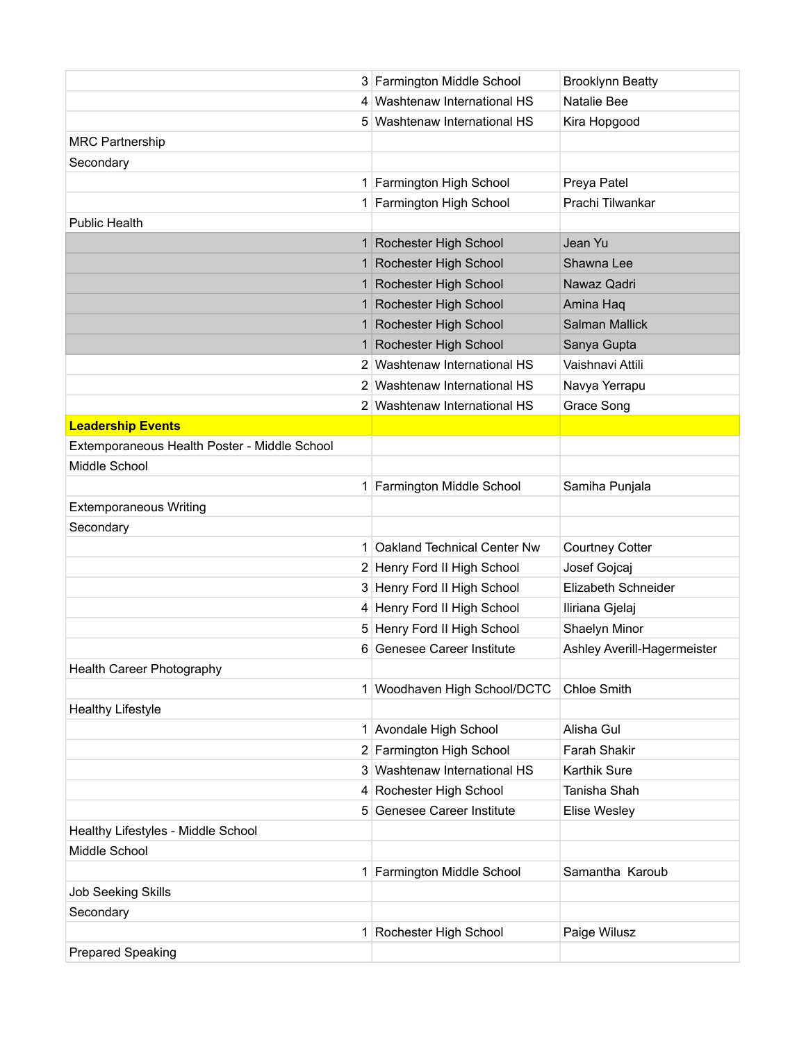|                                              | 3 Farmington Middle School   | <b>Brooklynn Beatty</b>     |
|----------------------------------------------|------------------------------|-----------------------------|
|                                              | 4 Washtenaw International HS | Natalie Bee                 |
|                                              | 5 Washtenaw International HS | Kira Hopgood                |
| <b>MRC Partnership</b>                       |                              |                             |
| Secondary                                    |                              |                             |
|                                              | 1 Farmington High School     | Preya Patel                 |
|                                              | 1 Farmington High School     | Prachi Tilwankar            |
| <b>Public Health</b>                         |                              |                             |
|                                              | 1 Rochester High School      | Jean Yu                     |
|                                              | 1 Rochester High School      | Shawna Lee                  |
|                                              | 1 Rochester High School      | Nawaz Qadri                 |
| 1 <sup>1</sup>                               | Rochester High School        | Amina Haq                   |
| 1 <sup>1</sup>                               | Rochester High School        | <b>Salman Mallick</b>       |
| 1 <sup>1</sup>                               | Rochester High School        | Sanya Gupta                 |
|                                              | 2 Washtenaw International HS | Vaishnavi Attili            |
|                                              | 2 Washtenaw International HS | Navya Yerrapu               |
|                                              | 2 Washtenaw International HS | Grace Song                  |
| <b>Leadership Events</b>                     |                              |                             |
| Extemporaneous Health Poster - Middle School |                              |                             |
| Middle School                                |                              |                             |
|                                              | 1 Farmington Middle School   | Samiha Punjala              |
| <b>Extemporaneous Writing</b>                |                              |                             |
| Secondary                                    |                              |                             |
| 1 <sup>1</sup>                               | Oakland Technical Center Nw  | <b>Courtney Cotter</b>      |
|                                              | 2 Henry Ford II High School  | Josef Gojcaj                |
|                                              | 3 Henry Ford II High School  | Elizabeth Schneider         |
|                                              | 4 Henry Ford II High School  | Iliriana Gjelaj             |
|                                              | 5 Henry Ford II High School  | Shaelyn Minor               |
|                                              | 6 Genesee Career Institute   | Ashley Averill-Hagermeister |
| Health Career Photography                    |                              |                             |
|                                              | 1 Woodhaven High School/DCTC | <b>Chloe Smith</b>          |
| <b>Healthy Lifestyle</b>                     |                              |                             |
|                                              | 1 Avondale High School       | Alisha Gul                  |
|                                              | 2 Farmington High School     | Farah Shakir                |
| 3                                            | Washtenaw International HS   | Karthik Sure                |
|                                              | 4 Rochester High School      | Tanisha Shah                |
|                                              | 5 Genesee Career Institute   | Elise Wesley                |
| Healthy Lifestyles - Middle School           |                              |                             |
| Middle School                                |                              |                             |
| $\mathbf{1}$                                 | Farmington Middle School     | Samantha Karoub             |
| <b>Job Seeking Skills</b>                    |                              |                             |
| Secondary                                    |                              |                             |
| 1                                            | Rochester High School        | Paige Wilusz                |
| <b>Prepared Speaking</b>                     |                              |                             |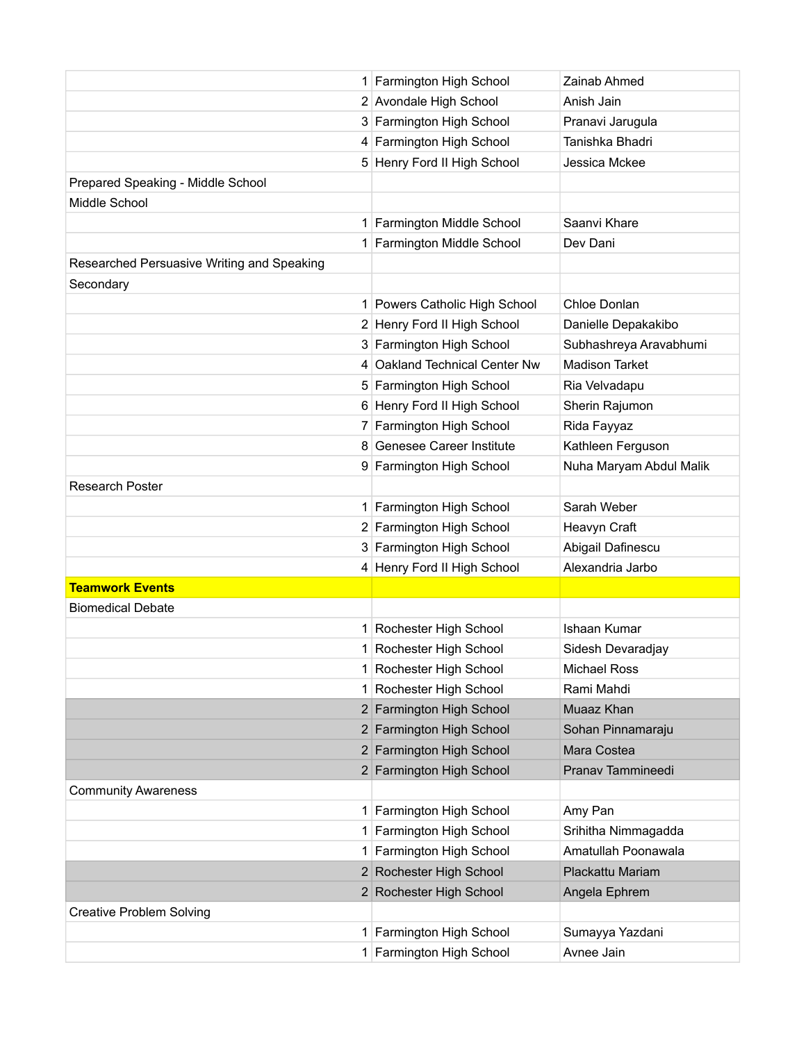|                                            | 1 Farmington High School      | Zainab Ahmed            |
|--------------------------------------------|-------------------------------|-------------------------|
|                                            | 2 Avondale High School        | Anish Jain              |
|                                            | 3 Farmington High School      | Pranavi Jarugula        |
|                                            | 4 Farmington High School      | Tanishka Bhadri         |
|                                            | 5 Henry Ford II High School   | Jessica Mckee           |
| Prepared Speaking - Middle School          |                               |                         |
| Middle School                              |                               |                         |
|                                            | 1 Farmington Middle School    | Saanvi Khare            |
|                                            | 1 Farmington Middle School    | Dev Dani                |
| Researched Persuasive Writing and Speaking |                               |                         |
| Secondary                                  |                               |                         |
|                                            | 1 Powers Catholic High School | Chloe Donlan            |
|                                            | 2 Henry Ford II High School   | Danielle Depakakibo     |
|                                            | 3 Farmington High School      | Subhashreya Aravabhumi  |
|                                            | 4 Oakland Technical Center Nw | <b>Madison Tarket</b>   |
|                                            | 5 Farmington High School      | Ria Velvadapu           |
|                                            | 6 Henry Ford II High School   | Sherin Rajumon          |
|                                            | 7 Farmington High School      | Rida Fayyaz             |
|                                            | 8 Genesee Career Institute    | Kathleen Ferguson       |
|                                            | 9 Farmington High School      | Nuha Maryam Abdul Malik |
| <b>Research Poster</b>                     |                               |                         |
|                                            | 1 Farmington High School      | Sarah Weber             |
|                                            | 2 Farmington High School      | Heavyn Craft            |
|                                            | 3 Farmington High School      | Abigail Dafinescu       |
|                                            | 4 Henry Ford II High School   | Alexandria Jarbo        |
| <b>Teamwork Events</b>                     |                               |                         |
| <b>Biomedical Debate</b>                   |                               |                         |
|                                            | 1 Rochester High School       | Ishaan Kumar            |
|                                            | 1 Rochester High School       | Sidesh Devaradjay       |
|                                            | 1 Rochester High School       | <b>Michael Ross</b>     |
|                                            | 1 Rochester High School       | Rami Mahdi              |
|                                            | 2 Farmington High School      | Muaaz Khan              |
|                                            | 2 Farmington High School      | Sohan Pinnamaraju       |
|                                            | 2 Farmington High School      | Mara Costea             |
|                                            | 2 Farmington High School      | Pranav Tammineedi       |
| <b>Community Awareness</b>                 |                               |                         |
|                                            | 1 Farmington High School      | Amy Pan                 |
|                                            | 1 Farmington High School      | Srihitha Nimmagadda     |
| 1 <sup>1</sup>                             | Farmington High School        | Amatullah Poonawala     |
|                                            | 2 Rochester High School       | Plackattu Mariam        |
|                                            | 2 Rochester High School       | Angela Ephrem           |
| <b>Creative Problem Solving</b>            |                               |                         |
|                                            | 1 Farmington High School      | Sumayya Yazdani         |
|                                            | 1 Farmington High School      | Avnee Jain              |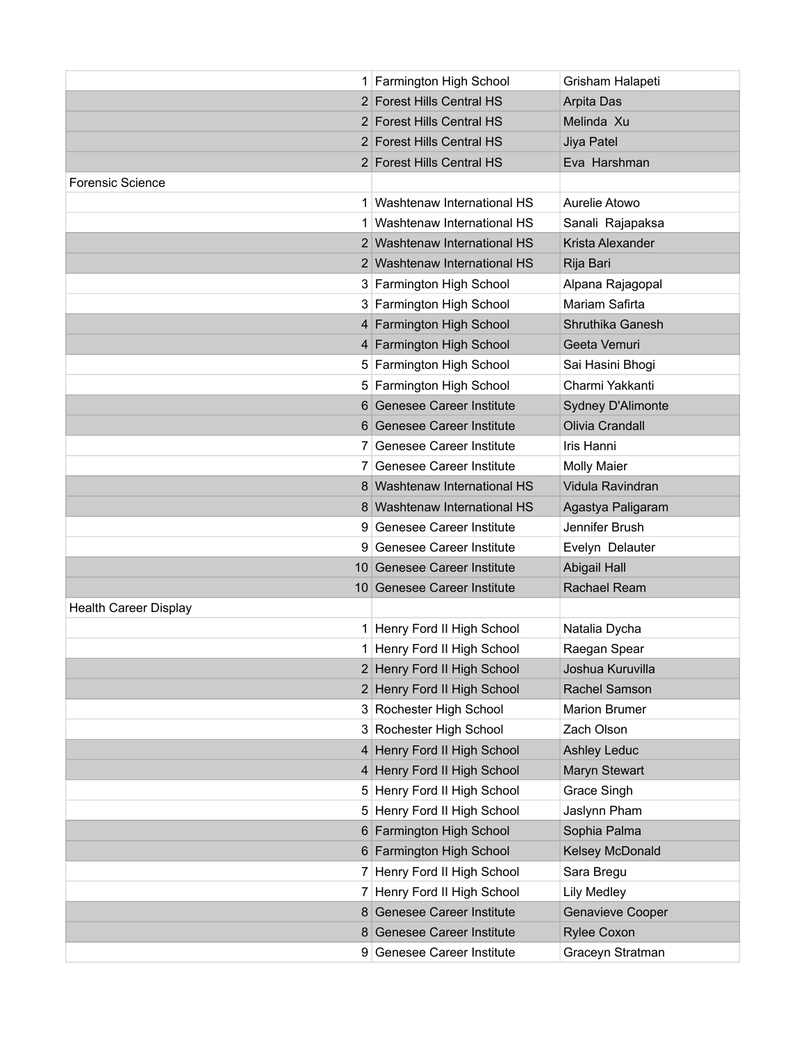|                              | 1 Farmington High School     | Grisham Halapeti     |
|------------------------------|------------------------------|----------------------|
|                              | 2 Forest Hills Central HS    | Arpita Das           |
|                              | 2 Forest Hills Central HS    | Melinda Xu           |
|                              | 2 Forest Hills Central HS    | Jiya Patel           |
|                              | 2 Forest Hills Central HS    | Eva Harshman         |
| <b>Forensic Science</b>      |                              |                      |
|                              | 1 Washtenaw International HS | Aurelie Atowo        |
|                              | 1 Washtenaw International HS | Sanali Rajapaksa     |
|                              | 2 Washtenaw International HS | Krista Alexander     |
|                              | 2 Washtenaw International HS | Rija Bari            |
|                              | 3 Farmington High School     | Alpana Rajagopal     |
|                              | 3 Farmington High School     | Mariam Safirta       |
|                              | 4 Farmington High School     | Shruthika Ganesh     |
|                              | 4 Farmington High School     | Geeta Vemuri         |
|                              | 5 Farmington High School     | Sai Hasini Bhogi     |
|                              | 5 Farmington High School     | Charmi Yakkanti      |
|                              | 6 Genesee Career Institute   | Sydney D'Alimonte    |
|                              | 6 Genesee Career Institute   | Olivia Crandall      |
|                              | 7 Genesee Career Institute   | Iris Hanni           |
|                              | 7 Genesee Career Institute   | <b>Molly Maier</b>   |
|                              | 8 Washtenaw International HS | Vidula Ravindran     |
|                              | 8 Washtenaw International HS | Agastya Paligaram    |
|                              | 9 Genesee Career Institute   | Jennifer Brush       |
|                              | 9 Genesee Career Institute   | Evelyn Delauter      |
|                              | 10 Genesee Career Institute  | <b>Abigail Hall</b>  |
|                              | 10 Genesee Career Institute  | Rachael Ream         |
| <b>Health Career Display</b> |                              |                      |
|                              | 1 Henry Ford II High School  | Natalia Dycha        |
|                              | 1 Henry Ford II High School  | Raegan Spear         |
|                              | 2 Henry Ford II High School  | Joshua Kuruvilla     |
|                              | 2 Henry Ford II High School  | Rachel Samson        |
|                              | 3 Rochester High School      | <b>Marion Brumer</b> |
|                              | 3 Rochester High School      | Zach Olson           |
|                              | 4 Henry Ford II High School  | <b>Ashley Leduc</b>  |
|                              | 4 Henry Ford II High School  | Maryn Stewart        |
|                              | 5 Henry Ford II High School  | Grace Singh          |
|                              | 5 Henry Ford II High School  | Jaslynn Pham         |
|                              | 6 Farmington High School     | Sophia Palma         |
|                              | 6 Farmington High School     | Kelsey McDonald      |
|                              | 7 Henry Ford II High School  | Sara Bregu           |
|                              | 7 Henry Ford II High School  | Lily Medley          |
|                              | 8 Genesee Career Institute   | Genavieve Cooper     |
|                              | 8 Genesee Career Institute   | <b>Rylee Coxon</b>   |
|                              | 9 Genesee Career Institute   | Graceyn Stratman     |